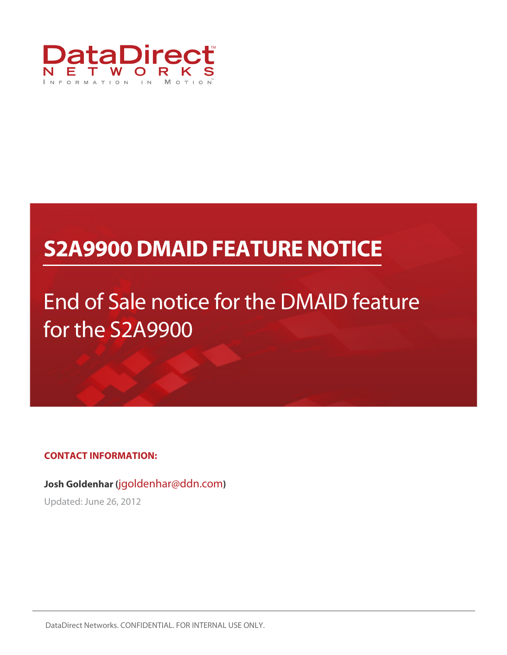

## **S2A9900 DMAID FEATURE NOTICE**

# End of Sale notice for the DMAID feature for the S2A9900

**CONTACT INFORMATION:** 

**Josh Goldenhar (**jgoldenhar@ddn.com**)** 

Updated: June 26, 2012

DataDirect Networks. CONFIDENTIAL. FOR INTERNAL USE ONLY.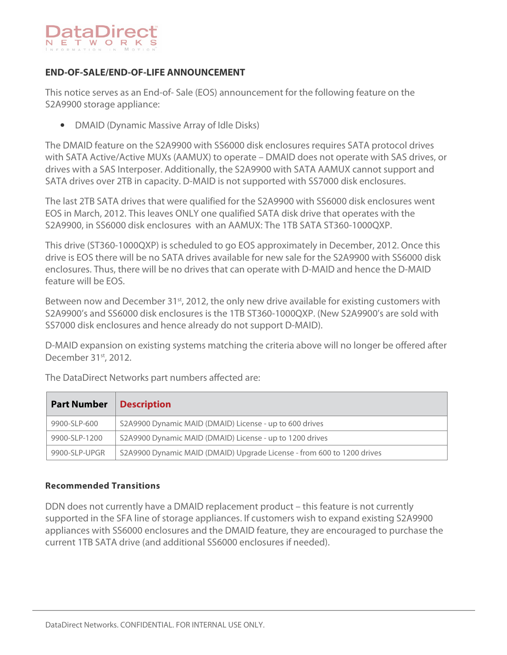

## **END-OF-SALE/END-OF-LIFE ANNOUNCEMENT**

This notice serves as an End-of- Sale (EOS) announcement for the following feature on the S2A9900 storage appliance:

• DMAID (Dynamic Massive Array of Idle Disks)

The DMAID feature on the S2A9900 with SS6000 disk enclosures requires SATA protocol drives with SATA Active/Active MUXs (AAMUX) to operate – DMAID does not operate with SAS drives, or drives with a SAS Interposer. Additionally, the S2A9900 with SATA AAMUX cannot support and SATA drives over 2TB in capacity. D-MAID is not supported with SS7000 disk enclosures.

The last 2TB SATA drives that were qualified for the S2A9900 with SS6000 disk enclosures went EOS in March, 2012. This leaves ONLY one qualified SATA disk drive that operates with the S2A9900, in SS6000 disk enclosures with an AAMUX: The 1TB SATA ST360-1000QXP.

This drive (ST360-1000QXP) is scheduled to go EOS approximately in December, 2012. Once this drive is EOS there will be no SATA drives available for new sale for the S2A9900 with SS6000 disk enclosures. Thus, there will be no drives that can operate with D-MAID and hence the D-MAID feature will be EOS.

Between now and December 31<sup>st</sup>, 2012, the only new drive available for existing customers with S2A9900's and SS6000 disk enclosures is the 1TB ST360-1000QXP. (New S2A9900's are sold with SS7000 disk enclosures and hence already do not support D-MAID).

D-MAID expansion on existing systems matching the criteria above will no longer be offered after December 31<sup>st</sup>, 2012.

The DataDirect Networks part numbers affected are:

| <b>Part Number</b> | <b>Description</b>                                                     |
|--------------------|------------------------------------------------------------------------|
| 9900-SLP-600       | S2A9900 Dynamic MAID (DMAID) License - up to 600 drives                |
| 9900-SLP-1200      | S2A9900 Dynamic MAID (DMAID) License - up to 1200 drives               |
| 9900-SLP-UPGR      | S2A9900 Dynamic MAID (DMAID) Upgrade License - from 600 to 1200 drives |

#### **Recommended Transitions**

DDN does not currently have a DMAID replacement product – this feature is not currently supported in the SFA line of storage appliances. If customers wish to expand existing S2A9900 appliances with SS6000 enclosures and the DMAID feature, they are encouraged to purchase the current 1TB SATA drive (and additional SS6000 enclosures if needed).